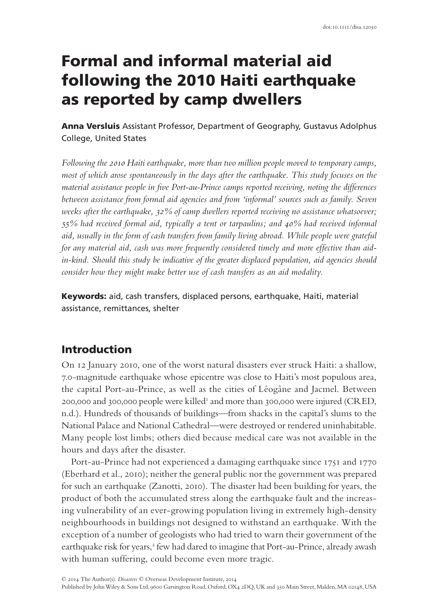# Formal and informal material aid following the 2010 Haiti earthquake as reported by camp dwellers

Anna Versluis Assistant Professor, Department of Geography, Gustavus Adolphus College, United States

*Following the 2010 Haiti earthquake, more than two million people moved to temporary camps, most of which arose spontaneously in the days after the earthquake. This study focuses on the material assistance people in five Port-au-Prince camps reported receiving, noting the differences between assistance from formal aid agencies and from 'informal' sources such as family. Seven weeks after the earthquake, 32% of camp dwellers reported receiving no assistance whatsoever; 55% had received formal aid, typically a tent or tarpaulins; and 40% had received informal aid, usually in the form of cash transfers from family living abroad. While people were grateful for any material aid, cash was more frequently considered timely and more effective than aidin-kind. Should this study be indicative of the greater displaced population, aid agencies should consider how they might make better use of cash transfers as an aid modality.*

Keywords: aid, cash transfers, displaced persons, earthquake, Haiti, material assistance, remittances, shelter

# Introduction

On 12 January 2010, one of the worst natural disasters ever struck Haiti: a shallow, 7.0-magnitude earthquake whose epicentre was close to Haiti's most populous area, the capital Port-au-Prince, as well as the cities of Léogâne and Jacmel. Between 200,000 and 300,000 people were killed<sup>1</sup> and more than 300,000 were injured (CRED, n.d.). Hundreds of thousands of buildings—from shacks in the capital's slums to the National Palace and National Cathedral—were destroyed or rendered uninhabitable. Many people lost limbs; others died because medical care was not available in the hours and days after the disaster.

Port-au-Prince had not experienced a damaging earthquake since 1751 and 1770 (Eberhard et al., 2010); neither the general public nor the government was prepared for such an earthquake (Zanotti, 2010). The disaster had been building for years, the product of both the accumulated stress along the earthquake fault and the increasing vulnerability of an ever-growing population living in extremely high-density neighbourhoods in buildings not designed to withstand an earthquake. With the exception of a number of geologists who had tried to warn their government of the earthquake risk for years,<sup>2</sup> few had dared to imagine that Port-au-Prince, already awash with human suffering, could become even more tragic.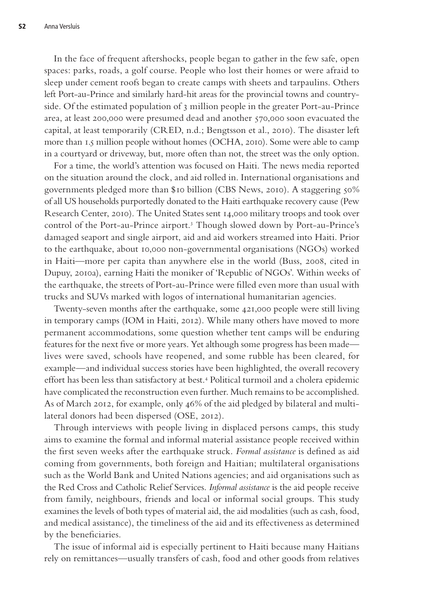In the face of frequent aftershocks, people began to gather in the few safe, open spaces: parks, roads, a golf course. People who lost their homes or were afraid to sleep under cement roofs began to create camps with sheets and tarpaulins. Others left Port-au-Prince and similarly hard-hit areas for the provincial towns and countryside. Of the estimated population of 3 million people in the greater Port-au-Prince area, at least 200,000 were presumed dead and another 570,000 soon evacuated the capital, at least temporarily (CRED, n.d.; Bengtsson et al., 2010). The disaster left more than 1.5 million people without homes (OCHA, 2010). Some were able to camp in a courtyard or driveway, but, more often than not, the street was the only option.

For a time, the world's attention was focused on Haiti. The news media reported on the situation around the clock, and aid rolled in. International organisations and governments pledged more than \$10 billion (CBS News, 2010). A staggering 50% of all US households purportedly donated to the Haiti earthquake recovery cause (Pew Research Center, 2010). The United States sent 14,000 military troops and took over control of the Port-au-Prince airport.<sup>3</sup> Though slowed down by Port-au-Prince's damaged seaport and single airport, aid and aid workers streamed into Haiti. Prior to the earthquake, about 10,000 non-governmental organisations (NGOs) worked in Haiti—more per capita than anywhere else in the world (Buss, 2008, cited in Dupuy, 2010a), earning Haiti the moniker of 'Republic of NGOs'. Within weeks of the earthquake, the streets of Port-au-Prince were filled even more than usual with trucks and SUVs marked with logos of international humanitarian agencies.

Twenty-seven months after the earthquake, some 421,000 people were still living in temporary camps (IOM in Haiti, 2012). While many others have moved to more permanent accommodations, some question whether tent camps will be enduring features for the next five or more years. Yet although some progress has been made lives were saved, schools have reopened, and some rubble has been cleared, for example—and individual success stories have been highlighted, the overall recovery effort has been less than satisfactory at best.<sup>4</sup> Political turmoil and a cholera epidemic have complicated the reconstruction even further. Much remains to be accomplished. As of March 2012, for example, only 46% of the aid pledged by bilateral and multilateral donors had been dispersed (OSE, 2012).

Through interviews with people living in displaced persons camps, this study aims to examine the formal and informal material assistance people received within the first seven weeks after the earthquake struck. *Formal assistance* is defined as aid coming from governments, both foreign and Haitian; multilateral organisations such as the World Bank and United Nations agencies; and aid organisations such as the Red Cross and Catholic Relief Services. *Informal assistance* is the aid people receive from family, neighbours, friends and local or informal social groups. This study examines the levels of both types of material aid, the aid modalities (such as cash, food, and medical assistance), the timeliness of the aid and its effectiveness as determined by the beneficiaries.

The issue of informal aid is especially pertinent to Haiti because many Haitians rely on remittances—usually transfers of cash, food and other goods from relatives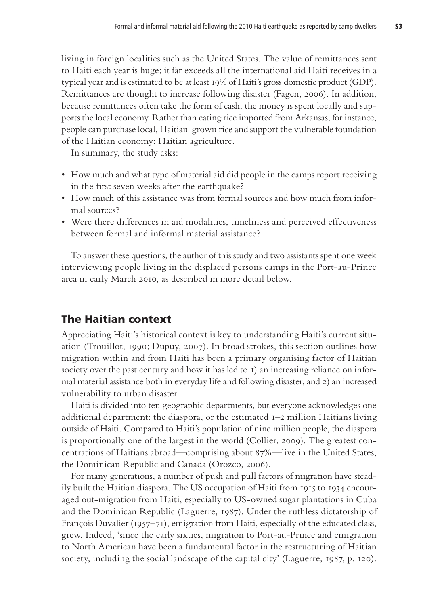living in foreign localities such as the United States. The value of remittances sent to Haiti each year is huge; it far exceeds all the international aid Haiti receives in a typical year and is estimated to be at least 19% of Haiti's gross domestic product (GDP). Remittances are thought to increase following disaster (Fagen, 2006). In addition, because remittances often take the form of cash, the money is spent locally and supports the local economy. Rather than eating rice imported from Arkansas, for instance, people can purchase local, Haitian-grown rice and support the vulnerable foundation of the Haitian economy: Haitian agriculture.

In summary, the study asks:

- How much and what type of material aid did people in the camps report receiving in the first seven weeks after the earthquake?
- How much of this assistance was from formal sources and how much from informal sources?
- Were there differences in aid modalities, timeliness and perceived effectiveness between formal and informal material assistance?

To answer these questions, the author of this study and two assistants spent one week interviewing people living in the displaced persons camps in the Port-au-Prince area in early March 2010, as described in more detail below.

#### The Haitian context

Appreciating Haiti's historical context is key to understanding Haiti's current situation (Trouillot, 1990; Dupuy, 2007). In broad strokes, this section outlines how migration within and from Haiti has been a primary organising factor of Haitian society over the past century and how it has led to 1) an increasing reliance on informal material assistance both in everyday life and following disaster, and 2) an increased vulnerability to urban disaster.

Haiti is divided into ten geographic departments, but everyone acknowledges one additional department: the diaspora, or the estimated 1–2 million Haitians living outside of Haiti. Compared to Haiti's population of nine million people, the diaspora is proportionally one of the largest in the world (Collier, 2009). The greatest concentrations of Haitians abroad—comprising about 87%—live in the United States, the Dominican Republic and Canada (Orozco, 2006).

For many generations, a number of push and pull factors of migration have steadily built the Haitian diaspora. The US occupation of Haiti from 1915 to 1934 encouraged out-migration from Haiti, especially to US-owned sugar plantations in Cuba and the Dominican Republic (Laguerre, 1987). Under the ruthless dictatorship of François Duvalier (1957–71), emigration from Haiti, especially of the educated class, grew. Indeed, 'since the early sixties, migration to Port-au-Prince and emigration to North American have been a fundamental factor in the restructuring of Haitian society, including the social landscape of the capital city' (Laguerre, 1987, p. 120).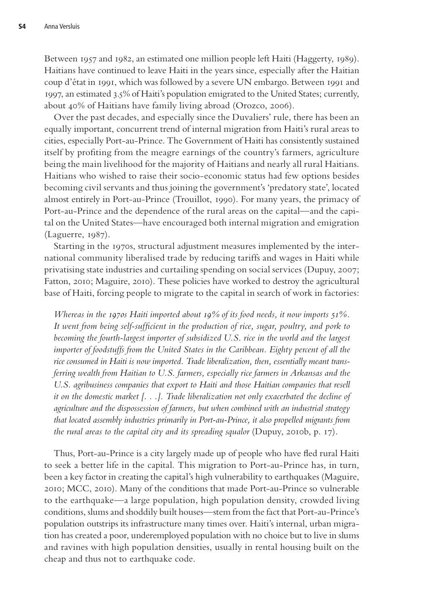Between 1957 and 1982, an estimated one million people left Haiti (Haggerty, 1989). Haitians have continued to leave Haiti in the years since, especially after the Haitian coup d'état in 1991, which was followed by a severe UN embargo. Between 1991 and 1997, an estimated 3.5% of Haiti's population emigrated to the United States; currently, about 40% of Haitians have family living abroad (Orozco, 2006).

Over the past decades, and especially since the Duvaliers' rule, there has been an equally important, concurrent trend of internal migration from Haiti's rural areas to cities, especially Port-au-Prince. The Government of Haiti has consistently sustained itself by profiting from the meagre earnings of the country's farmers, agriculture being the main livelihood for the majority of Haitians and nearly all rural Haitians. Haitians who wished to raise their socio-economic status had few options besides becoming civil servants and thus joining the government's 'predatory state', located almost entirely in Port-au-Prince (Trouillot, 1990). For many years, the primacy of Port-au-Prince and the dependence of the rural areas on the capital—and the capital on the United States—have encouraged both internal migration and emigration (Laguerre, 1987).

Starting in the 1970s, structural adjustment measures implemented by the international community liberalised trade by reducing tariffs and wages in Haiti while privatising state industries and curtailing spending on social services (Dupuy, 2007; Fatton, 2010; Maguire, 2010). These policies have worked to destroy the agricultural base of Haiti, forcing people to migrate to the capital in search of work in factories:

*Whereas in the 1970s Haiti imported about 19% of its food needs, it now imports 51%. It went from being self-sufficient in the production of rice, sugar, poultry, and pork to becoming the fourth-largest importer of subsidized U.S. rice in the world and the largest importer of foodstuffs from the United States in the Caribbean. Eighty percent of all the rice consumed in Haiti is now imported. Trade liberalization, then, essentially meant transferring wealth from Haitian to U.S. farmers, especially rice farmers in Arkansas and the U.S. agribusiness companies that export to Haiti and those Haitian companies that resell it on the domestic market [. . .]. Trade liberalization not only exacerbated the decline of agriculture and the dispossession of farmers, but when combined with an industrial strategy that located assembly industries primarily in Port-au-Prince, it also propelled migrants from the rural areas to the capital city and its spreading squalor* (Dupuy, 2010b, p. 17).

Thus, Port-au-Prince is a city largely made up of people who have fled rural Haiti to seek a better life in the capital. This migration to Port-au-Prince has, in turn, been a key factor in creating the capital's high vulnerability to earthquakes (Maguire, 2010; MCC, 2010). Many of the conditions that made Port-au-Prince so vulnerable to the earthquake—a large population, high population density, crowded living conditions, slums and shoddily built houses—stem from the fact that Port-au-Prince's population outstrips its infrastructure many times over. Haiti's internal, urban migration has created a poor, underemployed population with no choice but to live in slums and ravines with high population densities, usually in rental housing built on the cheap and thus not to earthquake code.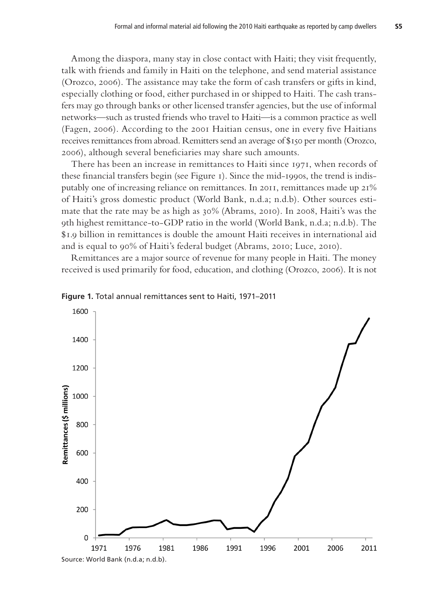Among the diaspora, many stay in close contact with Haiti; they visit frequently, talk with friends and family in Haiti on the telephone, and send material assistance (Orozco, 2006). The assistance may take the form of cash transfers or gifts in kind, especially clothing or food, either purchased in or shipped to Haiti. The cash transfers may go through banks or other licensed transfer agencies, but the use of informal networks—such as trusted friends who travel to Haiti—is a common practice as well (Fagen, 2006). According to the 2001 Haitian census, one in every five Haitians receives remittances from abroad. Remitters send an average of \$150 per month (Orozco, 2006), although several beneficiaries may share such amounts.

There has been an increase in remittances to Haiti since 1971, when records of these financial transfers begin (see Figure 1). Since the mid-1990s, the trend is indisputably one of increasing reliance on remittances. In 2011, remittances made up 21% of Haiti's gross domestic product (World Bank, n.d.a; n.d.b). Other sources estimate that the rate may be as high as 30% (Abrams, 2010). In 2008, Haiti's was the 9th highest remittance-to-GDP ratio in the world (World Bank, n.d.a; n.d.b). The \$1.9 billion in remittances is double the amount Haiti receives in international aid and is equal to 90% of Haiti's federal budget (Abrams, 2010; Luce, 2010).

Remittances are a major source of revenue for many people in Haiti. The money received is used primarily for food, education, and clothing (Orozco, 2006). It is not



**Figure 1.** Total annual remittances sent to Haiti, 1971–2011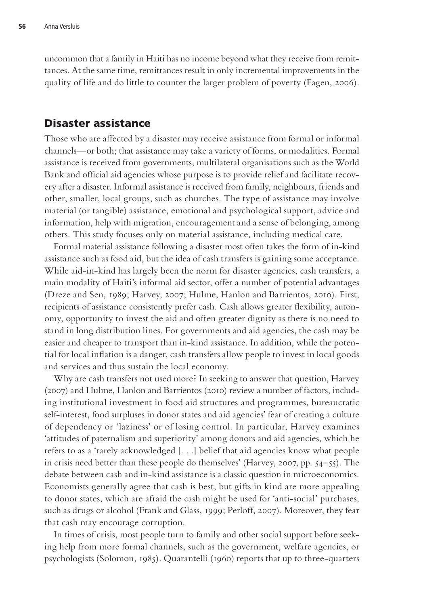uncommon that a family in Haiti has no income beyond what they receive from remittances. At the same time, remittances result in only incremental improvements in the quality of life and do little to counter the larger problem of poverty (Fagen, 2006).

### Disaster assistance

Those who are affected by a disaster may receive assistance from formal or informal channels—or both; that assistance may take a variety of forms, or modalities. Formal assistance is received from governments, multilateral organisations such as the World Bank and official aid agencies whose purpose is to provide relief and facilitate recovery after a disaster. Informal assistance is received from family, neighbours, friends and other, smaller, local groups, such as churches. The type of assistance may involve material (or tangible) assistance, emotional and psychological support, advice and information, help with migration, encouragement and a sense of belonging, among others. This study focuses only on material assistance, including medical care.

Formal material assistance following a disaster most often takes the form of in-kind assistance such as food aid, but the idea of cash transfers is gaining some acceptance. While aid-in-kind has largely been the norm for disaster agencies, cash transfers, a main modality of Haiti's informal aid sector, offer a number of potential advantages (Dreze and Sen, 1989; Harvey, 2007; Hulme, Hanlon and Barrientos, 2010). First, recipients of assistance consistently prefer cash. Cash allows greater flexibility, autonomy, opportunity to invest the aid and often greater dignity as there is no need to stand in long distribution lines. For governments and aid agencies, the cash may be easier and cheaper to transport than in-kind assistance. In addition, while the potential for local inflation is a danger, cash transfers allow people to invest in local goods and services and thus sustain the local economy.

Why are cash transfers not used more? In seeking to answer that question, Harvey (2007) and Hulme, Hanlon and Barrientos (2010) review a number of factors, including institutional investment in food aid structures and programmes, bureaucratic self-interest, food surpluses in donor states and aid agencies' fear of creating a culture of dependency or 'laziness' or of losing control. In particular, Harvey examines 'attitudes of paternalism and superiority' among donors and aid agencies, which he refers to as a 'rarely acknowledged [. . .] belief that aid agencies know what people in crisis need better than these people do themselves' (Harvey, 2007, pp. 54–55). The debate between cash and in-kind assistance is a classic question in microeconomics. Economists generally agree that cash is best, but gifts in kind are more appealing to donor states, which are afraid the cash might be used for 'anti-social' purchases, such as drugs or alcohol (Frank and Glass, 1999; Perloff, 2007). Moreover, they fear that cash may encourage corruption.

In times of crisis, most people turn to family and other social support before seeking help from more formal channels, such as the government, welfare agencies, or psychologists (Solomon, 1985). Quarantelli (1960) reports that up to three-quarters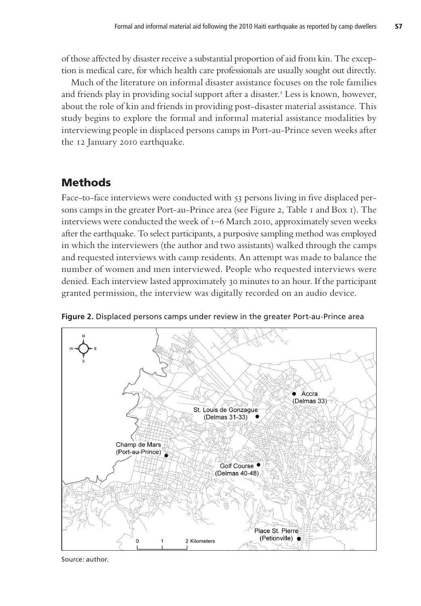of those affected by disaster receive a substantial proportion of aid from kin. The exception is medical care, for which health care professionals are usually sought out directly.

Much of the literature on informal disaster assistance focuses on the role families and friends play in providing social support after a disaster.<sup>5</sup> Less is known, however, about the role of kin and friends in providing post-disaster material assistance. This study begins to explore the formal and informal material assistance modalities by interviewing people in displaced persons camps in Port-au-Prince seven weeks after the 12 January 2010 earthquake.

## Methods

Face-to-face interviews were conducted with 53 persons living in five displaced persons camps in the greater Port-au-Prince area (see Figure 2, Table 1 and Box 1). The interviews were conducted the week of 1–6 March 2010, approximately seven weeks after the earthquake. To select participants, a purposive sampling method was employed in which the interviewers (the author and two assistants) walked through the camps and requested interviews with camp residents. An attempt was made to balance the number of women and men interviewed. People who requested interviews were denied. Each interview lasted approximately 30 minutes to an hour. If the participant granted permission, the interview was digitally recorded on an audio device.



**Figure 2.** Displaced persons camps under review in the greater Port-au-Prince area

Source: author.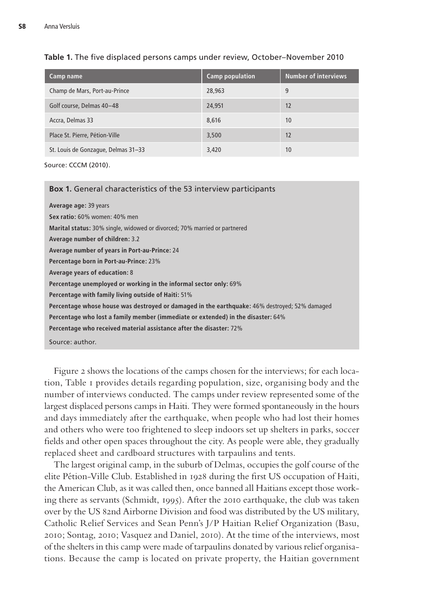#### **Table 1.** The five displaced persons camps under review, October–November 2010

| Camp name,                          | <b>Camp population</b> | <b>Number of interviews</b> |
|-------------------------------------|------------------------|-----------------------------|
| Champ de Mars, Port-au-Prince       | 28,963                 | 9                           |
| Golf course, Delmas 40-48           | 24,951                 | 12                          |
| Accra, Delmas 33                    | 8.616                  | 10                          |
| Place St. Pierre, Pétion-Ville      | 3,500                  | 12                          |
| St. Louis de Gonzague, Delmas 31-33 | 3,420                  | 10                          |

Source: CCCM (2010).

#### **Box 1.** General characteristics of the 53 interview participants

| Average age: 39 years                                                                         |  |  |  |  |
|-----------------------------------------------------------------------------------------------|--|--|--|--|
| Sex ratio: 60% women: 40% men                                                                 |  |  |  |  |
| <b>Marital status:</b> 30% single, widowed or divorced; 70% married or partnered              |  |  |  |  |
| Average number of children: 3.2                                                               |  |  |  |  |
| Average number of years in Port-au-Prince: 24                                                 |  |  |  |  |
| Percentage born in Port-au-Prince: 23%                                                        |  |  |  |  |
| Average years of education: 8                                                                 |  |  |  |  |
| Percentage unemployed or working in the informal sector only: 69%                             |  |  |  |  |
| Percentage with family living outside of Haiti: 51%                                           |  |  |  |  |
| Percentage whose house was destroyed or damaged in the earthquake: 46% destroyed; 52% damaged |  |  |  |  |
| Percentage who lost a family member (immediate or extended) in the disaster: 64%              |  |  |  |  |
| Percentage who received material assistance after the disaster: 72%                           |  |  |  |  |
| Source: author.                                                                               |  |  |  |  |
|                                                                                               |  |  |  |  |

Figure 2 shows the locations of the camps chosen for the interviews; for each location, Table 1 provides details regarding population, size, organising body and the number of interviews conducted. The camps under review represented some of the largest displaced persons camps in Haiti. They were formed spontaneously in the hours and days immediately after the earthquake, when people who had lost their homes and others who were too frightened to sleep indoors set up shelters in parks, soccer fields and other open spaces throughout the city. As people were able, they gradually replaced sheet and cardboard structures with tarpaulins and tents.

The largest original camp, in the suburb of Delmas, occupies the golf course of the elite Pétion-Ville Club. Established in 1928 during the first US occupation of Haiti, the American Club, as it was called then, once banned all Haitians except those working there as servants (Schmidt, 1995). After the 2010 earthquake, the club was taken over by the US 82nd Airborne Division and food was distributed by the US military, Catholic Relief Services and Sean Penn's J/P Haitian Relief Organization (Basu, 2010; Sontag, 2010; Vasquez and Daniel, 2010). At the time of the interviews, most of the shelters in this camp were made of tarpaulins donated by various relief organisations. Because the camp is located on private property, the Haitian government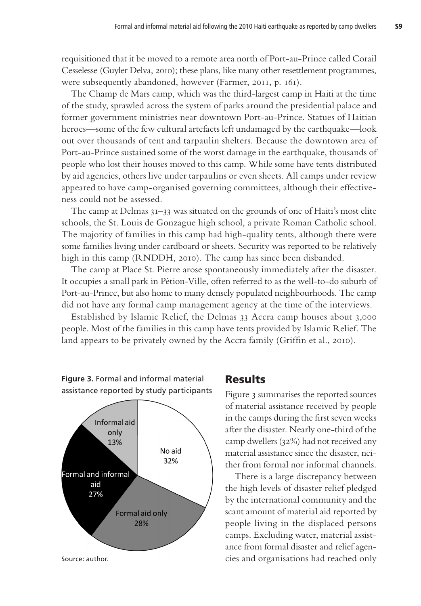requisitioned that it be moved to a remote area north of Port-au-Prince called Corail Cesselesse (Guyler Delva, 2010); these plans, like many other resettlement programmes, were subsequently abandoned, however (Farmer, 2011, p. 161).

The Champ de Mars camp, which was the third-largest camp in Haiti at the time of the study, sprawled across the system of parks around the presidential palace and former government ministries near downtown Port-au-Prince. Statues of Haitian heroes—some of the few cultural artefacts left undamaged by the earthquake—look out over thousands of tent and tarpaulin shelters. Because the downtown area of Port-au-Prince sustained some of the worst damage in the earthquake, thousands of people who lost their houses moved to this camp. While some have tents distributed by aid agencies, others live under tarpaulins or even sheets. All camps under review appeared to have camp-organised governing committees, although their effectiveness could not be assessed.

The camp at Delmas 31–33 was situated on the grounds of one of Haiti's most elite schools, the St. Louis de Gonzague high school, a private Roman Catholic school. The majority of families in this camp had high-quality tents, although there were some families living under cardboard or sheets. Security was reported to be relatively high in this camp (RNDDH, 2010). The camp has since been disbanded.

The camp at Place St. Pierre arose spontaneously immediately after the disaster. It occupies a small park in Pétion-Ville, often referred to as the well-to-do suburb of Port-au-Prince, but also home to many densely populated neighbourhoods. The camp did not have any formal camp management agency at the time of the interviews.

Established by Islamic Relief, the Delmas 33 Accra camp houses about 3,000 people. Most of the families in this camp have tents provided by Islamic Relief. The land appears to be privately owned by the Accra family (Griffin et al., 2010).



#### Results

Figure 3 summarises the reported sources of material assistance received by people in the camps during the first seven weeks after the disaster. Nearly one-third of the camp dwellers (32%) had not received any material assistance since the disaster, neither from formal nor informal channels.

There is a large discrepancy between the high levels of disaster relief pledged by the international community and the scant amount of material aid reported by people living in the displaced persons camps. Excluding water, material assistance from formal disaster and relief agencies and organisations had reached only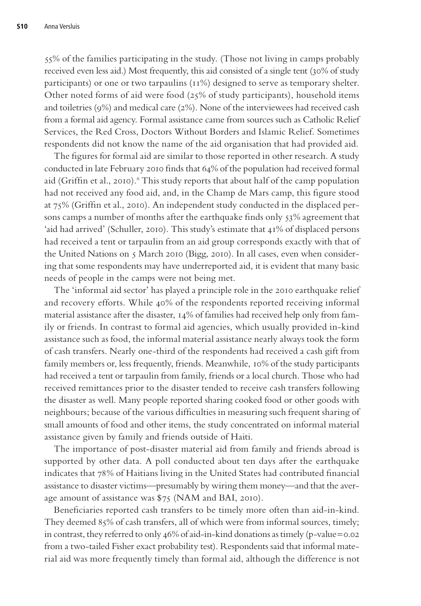55% of the families participating in the study. (Those not living in camps probably received even less aid.) Most frequently, this aid consisted of a single tent (30% of study participants) or one or two tarpaulins (11%) designed to serve as temporary shelter. Other noted forms of aid were food (25% of study participants), household items and toiletries (9%) and medical care (2%). None of the interviewees had received cash from a formal aid agency. Formal assistance came from sources such as Catholic Relief Services, the Red Cross, Doctors Without Borders and Islamic Relief. Sometimes respondents did not know the name of the aid organisation that had provided aid.

The figures for formal aid are similar to those reported in other research. A study conducted in late February 2010 finds that 64% of the population had received formal aid (Griffin et al., 2010).<sup>6</sup> This study reports that about half of the camp population had not received any food aid, and, in the Champ de Mars camp, this figure stood at 75% (Griffin et al., 2010). An independent study conducted in the displaced persons camps a number of months after the earthquake finds only 53% agreement that 'aid had arrived' (Schuller, 2010). This study's estimate that 41% of displaced persons had received a tent or tarpaulin from an aid group corresponds exactly with that of the United Nations on  $\zeta$  March 2010 (Bigg, 2010). In all cases, even when considering that some respondents may have underreported aid, it is evident that many basic needs of people in the camps were not being met.

The 'informal aid sector' has played a principle role in the 2010 earthquake relief and recovery efforts. While 40% of the respondents reported receiving informal material assistance after the disaster, 14% of families had received help only from family or friends. In contrast to formal aid agencies, which usually provided in-kind assistance such as food, the informal material assistance nearly always took the form of cash transfers. Nearly one-third of the respondents had received a cash gift from family members or, less frequently, friends. Meanwhile, 10% of the study participants had received a tent or tarpaulin from family, friends or a local church. Those who had received remittances prior to the disaster tended to receive cash transfers following the disaster as well. Many people reported sharing cooked food or other goods with neighbours; because of the various difficulties in measuring such frequent sharing of small amounts of food and other items, the study concentrated on informal material assistance given by family and friends outside of Haiti.

The importance of post-disaster material aid from family and friends abroad is supported by other data. A poll conducted about ten days after the earthquake indicates that 78% of Haitians living in the United States had contributed financial assistance to disaster victims—presumably by wiring them money—and that the average amount of assistance was \$75 (NAM and BAI, 2010).

Beneficiaries reported cash transfers to be timely more often than aid-in-kind. They deemed 85% of cash transfers, all of which were from informal sources, timely; in contrast, they referred to only 46% of aid-in-kind donations as timely (p-value=0.02 from a two-tailed Fisher exact probability test). Respondents said that informal material aid was more frequently timely than formal aid, although the difference is not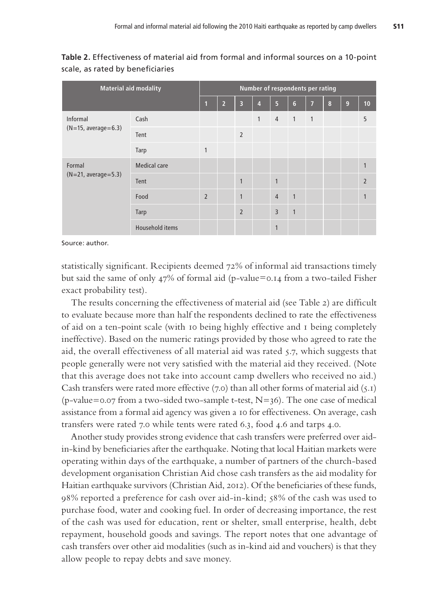**Table 2.** Effectiveness of material aid from formal and informal sources on a 10-point scale, as rated by beneficiaries

| <b>Material aid modality</b>      |                     | Number of respondents per rating |                |                         |                |                |                |                |   |                |                |
|-----------------------------------|---------------------|----------------------------------|----------------|-------------------------|----------------|----------------|----------------|----------------|---|----------------|----------------|
|                                   |                     | $\mathbf{1}$                     | $\overline{2}$ | $\overline{\mathbf{3}}$ | $\overline{4}$ | 5              | $6\phantom{1}$ | $\overline{7}$ | 8 | $\overline{9}$ | 10             |
| Informal<br>$(N=15, average=6.3)$ | Cash                |                                  |                |                         | 1              | $\overline{4}$ | $\mathbf{1}$   | $\overline{1}$ |   |                | 5              |
|                                   | Tent                |                                  |                | $\overline{2}$          |                |                |                |                |   |                |                |
|                                   | Tarp                | $\mathbf{1}$                     |                |                         |                |                |                |                |   |                |                |
| Formal<br>$(N=21, average=5.3)$   | <b>Medical care</b> |                                  |                |                         |                |                |                |                |   |                | 1              |
|                                   | Tent                |                                  |                | $\mathbf{1}$            |                | 1              |                |                |   |                | $\overline{2}$ |
|                                   | Food                | $\overline{2}$                   |                | $\mathbf{1}$            |                | $\overline{4}$ | 1              |                |   |                | 1              |
|                                   | Tarp                |                                  |                | $\overline{2}$          |                | $\overline{3}$ | $\mathbf{1}$   |                |   |                |                |
|                                   | Household items     |                                  |                |                         |                | 1              |                |                |   |                |                |

Source: author.

statistically significant. Recipients deemed 72% of informal aid transactions timely but said the same of only 47% of formal aid (p-value=0.14 from a two-tailed Fisher exact probability test).

The results concerning the effectiveness of material aid (see Table 2) are difficult to evaluate because more than half the respondents declined to rate the effectiveness of aid on a ten-point scale (with 10 being highly effective and 1 being completely ineffective). Based on the numeric ratings provided by those who agreed to rate the aid, the overall effectiveness of all material aid was rated 5.7, which suggests that people generally were not very satisfied with the material aid they received. (Note that this average does not take into account camp dwellers who received no aid.) Cash transfers were rated more effective (7.0) than all other forms of material aid (5.1)  $(p-value=0.07$  from a two-sided two-sample t-test,  $N=36$ ). The one case of medical assistance from a formal aid agency was given a 10 for effectiveness. On average, cash transfers were rated 7.0 while tents were rated 6.3, food 4.6 and tarps 4.0.

Another study provides strong evidence that cash transfers were preferred over aidin-kind by beneficiaries after the earthquake. Noting that local Haitian markets were operating within days of the earthquake, a number of partners of the church-based development organisation Christian Aid chose cash transfers as the aid modality for Haitian earthquake survivors (Christian Aid, 2012). Of the beneficiaries of these funds, 98% reported a preference for cash over aid-in-kind; 58% of the cash was used to purchase food, water and cooking fuel. In order of decreasing importance, the rest of the cash was used for education, rent or shelter, small enterprise, health, debt repayment, household goods and savings. The report notes that one advantage of cash transfers over other aid modalities (such as in-kind aid and vouchers) is that they allow people to repay debts and save money.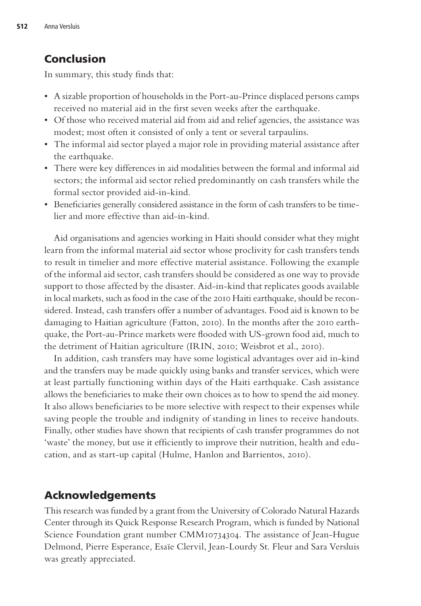## Conclusion

In summary, this study finds that:

- A sizable proportion of households in the Port-au-Prince displaced persons camps received no material aid in the first seven weeks after the earthquake.
- Of those who received material aid from aid and relief agencies, the assistance was modest; most often it consisted of only a tent or several tarpaulins.
- The informal aid sector played a major role in providing material assistance after the earthquake.
- There were key differences in aid modalities between the formal and informal aid sectors; the informal aid sector relied predominantly on cash transfers while the formal sector provided aid-in-kind.
- Beneficiaries generally considered assistance in the form of cash transfers to be timelier and more effective than aid-in-kind.

Aid organisations and agencies working in Haiti should consider what they might learn from the informal material aid sector whose proclivity for cash transfers tends to result in timelier and more effective material assistance. Following the example of the informal aid sector, cash transfers should be considered as one way to provide support to those affected by the disaster. Aid-in-kind that replicates goods available in local markets, such as food in the case of the 2010 Haiti earthquake, should be reconsidered. Instead, cash transfers offer a number of advantages. Food aid is known to be damaging to Haitian agriculture (Fatton, 2010). In the months after the 2010 earthquake, the Port-au-Prince markets were flooded with US-grown food aid, much to the detriment of Haitian agriculture (IRIN, 2010; Weisbrot et al., 2010).

In addition, cash transfers may have some logistical advantages over aid in-kind and the transfers may be made quickly using banks and transfer services, which were at least partially functioning within days of the Haiti earthquake. Cash assistance allows the beneficiaries to make their own choices as to how to spend the aid money. It also allows beneficiaries to be more selective with respect to their expenses while saving people the trouble and indignity of standing in lines to receive handouts. Finally, other studies have shown that recipients of cash transfer programmes do not 'waste' the money, but use it efficiently to improve their nutrition, health and education, and as start-up capital (Hulme, Hanlon and Barrientos, 2010).

# Acknowledgements

This research was funded by a grant from the University of Colorado Natural Hazards Center through its Quick Response Research Program, which is funded by National Science Foundation grant number CMM10734304. The assistance of Jean-Hugue Delmond, Pierre Esperance, Esaїe Clervil, Jean-Lourdy St. Fleur and Sara Versluis was greatly appreciated.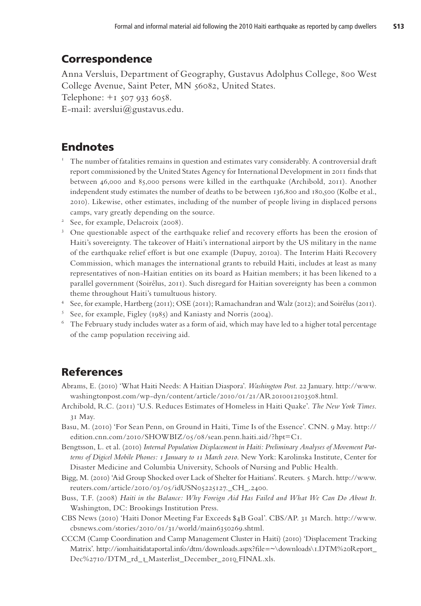## Correspondence

Anna Versluis, Department of Geography, Gustavus Adolphus College, 800 West College Avenue, Saint Peter, MN 56082, United States.

Telephone: +1 507 933 6058.

E-mail: averslui@gustavus.edu.

## Endnotes

- <sup>1</sup> The number of fatalities remains in question and estimates vary considerably. A controversial draft report commissioned by the United States Agency for International Development in 2011 finds that between 46,000 and 85,000 persons were killed in the earthquake (Archibold, 2011). Another independent study estimates the number of deaths to be between 136,800 and 180,500 (Kolbe et al., 2010). Likewise, other estimates, including of the number of people living in displaced persons camps, vary greatly depending on the source.
- See, for example, Delacroix (2008).
- <sup>3</sup> One questionable aspect of the earthquake relief and recovery efforts has been the erosion of Haiti's sovereignty. The takeover of Haiti's international airport by the US military in the name of the earthquake relief effort is but one example (Dupuy, 2010a). The Interim Haiti Recovery Commission, which manages the international grants to rebuild Haiti, includes at least as many representatives of non-Haitian entities on its board as Haitian members; it has been likened to a parallel government (Soirélus, 2011). Such disregard for Haitian sovereignty has been a common theme throughout Haiti's tumultuous history.
- <sup>4</sup> See, for example, Hartberg (2011); OSE (2011); Ramachandran and Walz (2012); and Soirélus (2011).
- <sup>5</sup> See, for example, Figley (1985) and Kaniasty and Norris (2004).
- <sup>6</sup> The February study includes water as a form of aid, which may have led to a higher total percentage of the camp population receiving aid.

## References

- Abrams, E. (2010) 'What Haiti Needs: A Haitian Diaspora'. *Washington Post*. 22 January. http://www. washingtonpost.com/wp-dyn/content/article/2010/01/21/AR2010012103508.html.
- Archibold, R.C. (2011) 'U.S. Reduces Estimates of Homeless in Haiti Quake'. *The New York Times*. 31 May.
- Basu, M. (2010) 'For Sean Penn, on Ground in Haiti, Time Is of the Essence'. CNN. 9 May. http:// edition.cnn.com/2010/SHOWBIZ/05/08/sean.penn.haiti.aid/?hpt=C1.
- Bengtsson, L. et al. (2010) *Internal Population Displacement in Haiti: Preliminary Analyses of Movement Patterns of Digicel Mobile Phones: 1 January to 11 March 2010*. New York: Karolinska Institute, Center for Disaster Medicine and Columbia University, Schools of Nursing and Public Health.
- Bigg, M. (2010) 'Aid Group Shocked over Lack of Shelter for Haitians'. Reuters. 5 March. http://www. reuters.com/article/2010/03/05/idUSN05225127.\_CH\_.2400.
- Buss, T.F. (2008) *Haiti in the Balance: Why Foreign Aid Has Failed and What We Can Do About It*. Washington, DC: Brookings Institution Press.
- CBS News (2010) 'Haiti Donor Meeting Far Exceeds \$4B Goal'. CBS/AP. 31 March. http://www. cbsnews.com/stories/2010/01/31/world/main6350269.shtml.
- CCCM (Camp Coordination and Camp Management Cluster in Haiti) (2010) 'Displacement Tracking Matrix'. http://iomhaitidataportal.info/dtm/downloads.aspx?file=~\downloads\1.DTM%20Report\_ Dec%2710/DTM\_rd\_1\_Masterlist\_December\_2010\_FINAL.xls.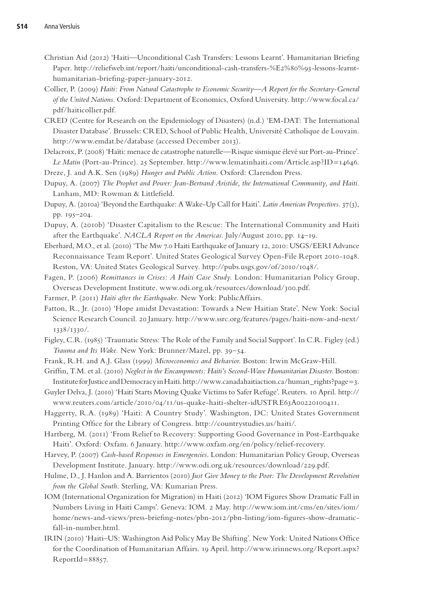- Christian Aid (2012) 'Haiti—Unconditional Cash Transfers: Lessons Learnt'. Humanitarian Briefing Paper. http://reliefweb.int/report/haiti/unconditional-cash-transfers-%E2%80%93-lessons-learnthumanitarian-briefing-paper-january-2012.
- Collier, P. (2009) *Haiti: From Natural Catastrophe to Economic Security—A Report for the Secretary-General of the United Nations*. Oxford: Department of Economics, Oxford University. http://www.focal.ca/ pdf/haiticollier.pdf.
- CRED (Centre for Research on the Epidemiology of Disasters) (n.d.) 'EM-DAT: The International Disaster Database'. Brussels: CRED, School of Public Health, Université Catholique de Louvain. http://www.emdat.be/database (accessed December 2013).

Delacroix, P. (2008) 'Haïti: menace de catastrophe naturelle—Risque sismique élevé sur Port-au-Prince'. *Le Matin* (Port-au-Prince). 25 September. http://www.lematinhaiti.com/Article.asp?ID=14646. Dreze, J. and A.K. Sen (1989) *Hunger and Public Action*. Oxford: Clarendon Press.

- Dupuy, A. (2007) *The Prophet and Power: Jean-Bertrand Aristide, the International Community, and Haiti*. Lanham, MD: Rowman & Littlefield.
- Dupuy, A. (2010a) 'Beyond the Earthquake: A Wake-Up Call for Haiti'. *Latin American Perspectives*. 37(3), pp. 195–204.
- Dupuy, A. (2010b) 'Disaster Capitalism to the Rescue: The International Community and Haiti after the Earthquake'. *NACLA Report on the Americas*. July/August 2010, pp. 14–19.
- Eberhard, M.O., et al. (2010) 'The Mw 7.0 Haiti Earthquake of January 12, 2010: USGS/EERI Advance Reconnaissance Team Report'. United States Geological Survey Open-File Report 2010-1048. Reston, VA: United States Geological Survey. http://pubs.usgs.gov/of/2010/1048/.
- Fagen, P. (2006) *Remittances in Crises: A Haiti Case Study*. London: Humanitarian Policy Group, Overseas Development Institute. www.odi.org.uk/resources/download/300.pdf.
- Farmer, P. (2011) *Haiti after the Earthquake*. New York: PublicAffairs.
- Fatton, R., Jr. (2010) 'Hope amidst Devastation: Towards a New Haitian State'. New York: Social Science Research Council. 20 January. http://www.ssrc.org/features/pages/haiti-now-and-next/ 1338/1330/.
- Figley, C.R. (1985) 'Traumatic Stress: The Role of the Family and Social Support'. In C.R. Figley (ed.) *Trauma and Its Wake.* New York: Brunner/Mazel, pp. 39–54.
- Frank, R.H. and A.J. Glass (1999) *Microeconomics and Behavior*. Boston: Irwin McGraw-Hill.
- Griffin, T.M. et al. (2010) *Neglect in the Encampments: Haiti's Second-Wave Humanitarian Disaster*. Boston: Institute for Justice and Democracy in Haiti. http://www.canadahaitiaction.ca/human\_rights?page=3.
- Guyler Delva, J. (2010) 'Haiti Starts Moving Quake Victims to Safer Refuge'. Reuters. 10 April. http:// www.reuters.com/article/2010/04/11/us-quake-haiti-shelter-idUSTRE63A00220100411.
- Haggerty, R.A. (1989) 'Haiti: A Country Study'. Washington, DC: United States Government Printing Office for the Library of Congress. http://countrystudies.us/haiti/.
- Hartberg, M. (2011) 'From Relief to Recovery: Supporting Good Governance in Post-Earthquake Haiti'. Oxford: Oxfam. 6 January. http://www.oxfam.org/en/policy/relief-recovery.
- Harvey, P. (2007) *Cash-based Responses in Emergencies*. London: Humanitarian Policy Group, Overseas Development Institute. January. http://www.odi.org.uk/resources/download/229.pdf.
- Hulme, D., J. Hanlon and A. Barrientos (2010) *Just Give Money to the Poor: The Development Revolution from the Global South*. Sterling, VA: Kumarian Press.
- IOM (International Organization for Migration) in Haiti (2012) 'IOM Figures Show Dramatic Fall in Numbers Living in Haiti Camps'. Geneva: IOM. 2 May. http://www.iom.int/cms/en/sites/iom/ home/news-and-views/press-briefing-notes/pbn-2012/pbn-listing/iom-figures-show-dramaticfall-in-number.html.
- IRIN (2010) 'Haiti–US: Washington Aid Policy May Be Shifting'. New York: United Nations Office for the Coordination of Humanitarian Affairs. 19 April. http://www.irinnews.org/Report.aspx? ReportId=88857.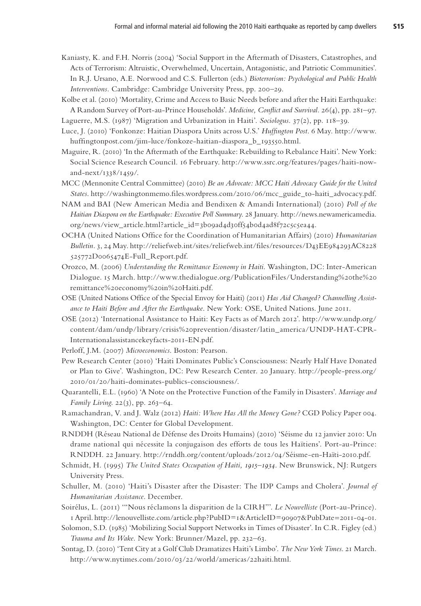- Kaniasty, K. and F.H. Norris (2004) 'Social Support in the Aftermath of Disasters, Catastrophes, and Acts of Terrorism: Altruistic, Overwhelmed, Uncertain, Antagonistic, and Patriotic Communities'. In R.J. Ursano, A.E. Norwood and C.S. Fullerton (eds.) *Bioterrorism: Psychological and Public Health Interventions.* Cambridge: Cambridge University Press, pp. 200–29.
- Kolbe et al. (2010) 'Mortality, Crime and Access to Basic Needs before and after the Haiti Earthquake: A Random Survey of Port-au-Prince Households'. *Medicine, Conflict and Survival.* 26(4), pp. 281–97.
- Laguerre, M.S. (1987) 'Migration and Urbanization in Haiti'. *Sociologus*. 37(2), pp. 118–39.
- Luce, J. (2010) 'Fonkonze: Haitian Diaspora Units across U.S.' *Huffington Post*. 6 May. http://www. huffingtonpost.com/jim-luce/fonkoze-haitian-diaspora\_b\_193550.html.
- Maguire, R. (2010) 'In the Aftermath of the Earthquake: Rebuilding to Rebalance Haiti'. New York: Social Science Research Council. 16 February. http://www.ssrc.org/features/pages/haiti-nowand-next/1338/1459/.
- MCC (Mennonite Central Committee) (2010) *Be an Advocate: MCC Haiti Advocacy Guide for the United States*. http://washingtonmemo.files.wordpress.com/2010/06/mcc\_guide\_to-haiti\_advocacy.pdf.
- NAM and BAI (New American Media and Bendixen & Amandi International) (2010) *Poll of the Haitian Diaspora on the Earthquake: Executive Poll Summary*. 28 January. http://news.newamericamedia. org/news/view\_article.html?article\_id=3b09ad4d30ff54b0d4ad8f72c5c5ea44.
- OCHA (United Nations Office for the Coordination of Humanitarian Affairs) (2010) *Humanitarian Bulletin*. 3, 24 May. http://reliefweb.int/sites/reliefweb.int/files/resources/D43EE984293AC8228 525772D0065474E-Full\_Report.pdf.
- Orozco, M. (2006) *Understanding the Remittance Economy in Haiti*. Washington, DC: Inter-American Dialogue. 15 March. http://www.thedialogue.org/PublicationFiles/Understanding%20the%20 remittance%20economy%20in%20Haiti.pdf.
- OSE (United Nations Office of the Special Envoy for Haiti) (2011) *Has Aid Changed? Channelling Assistance to Haiti Before and After the Earthquake*. New York: OSE, United Nations. June 2011.
- OSE (2012) 'International Assistance to Haiti: Key Facts as of March 2012'. http://www.undp.org/ content/dam/undp/library/crisis%20prevention/disaster/latin\_america/UNDP-HAT-CPR-Internationalassistancekeyfacts-2011-EN.pdf.
- Perloff, J.M. (2007) *Microeconomics*. Boston: Pearson.
- Pew Research Center (2010) 'Haiti Dominates Public's Consciousness: Nearly Half Have Donated or Plan to Give'. Washington, DC: Pew Research Center. 20 January. http://people-press.org/ 2010/01/20/haiti-dominates-publics-consciousness/.
- Quarantelli, E.L. (1960) 'A Note on the Protective Function of the Family in Disasters'. *Marriage and Family Living*. 22(3), pp. 263–64.
- Ramachandran, V. and J. Walz (2012) *Haiti: Where Has All the Money Gone?* CGD Policy Paper 004. Washington, DC: Center for Global Development.
- RNDDH (Réseau National de Défense des Droits Humains) (2010) 'Séisme du 12 janvier 2010: Un drame national qui nécessite la conjugaison des efforts de tous les Haïtiens'. Port-au-Prince: RNDDH. 22 January. http://rnddh.org/content/uploads/2012/04/Séisme-en-Haïti-2010.pdf.
- Schmidt, H. (1995) *The United States Occupation of Haiti, 1915–1934*. New Brunswick, NJ: Rutgers University Press.
- Schuller, M. (2010) 'Haiti's Disaster after the Disaster: The IDP Camps and Cholera'. *Journal of Humanitarian Assistance*. December.
- Soirélus, L. (2011) '"Nous réclamons la disparition de la CIRH"'. *Le Nouvelliste* (Port-au-Prince). 1 April. http://lenouvelliste.com/article.php?PubID=1&ArticleID=90907&PubDate=2011-04-01.
- Solomon, S.D. (1985) 'Mobilizing Social Support Networks in Times of Disaster'. In C.R. Figley (ed.) *Trauma and Its Wake.* New York: Brunner/Mazel, pp. 232–63.
- Sontag, D. (2010) 'Tent City at a Golf Club Dramatizes Haiti's Limbo'. *The New York Times*. 21 March. http://www.nytimes.com/2010/03/22/world/americas/22haiti.html.